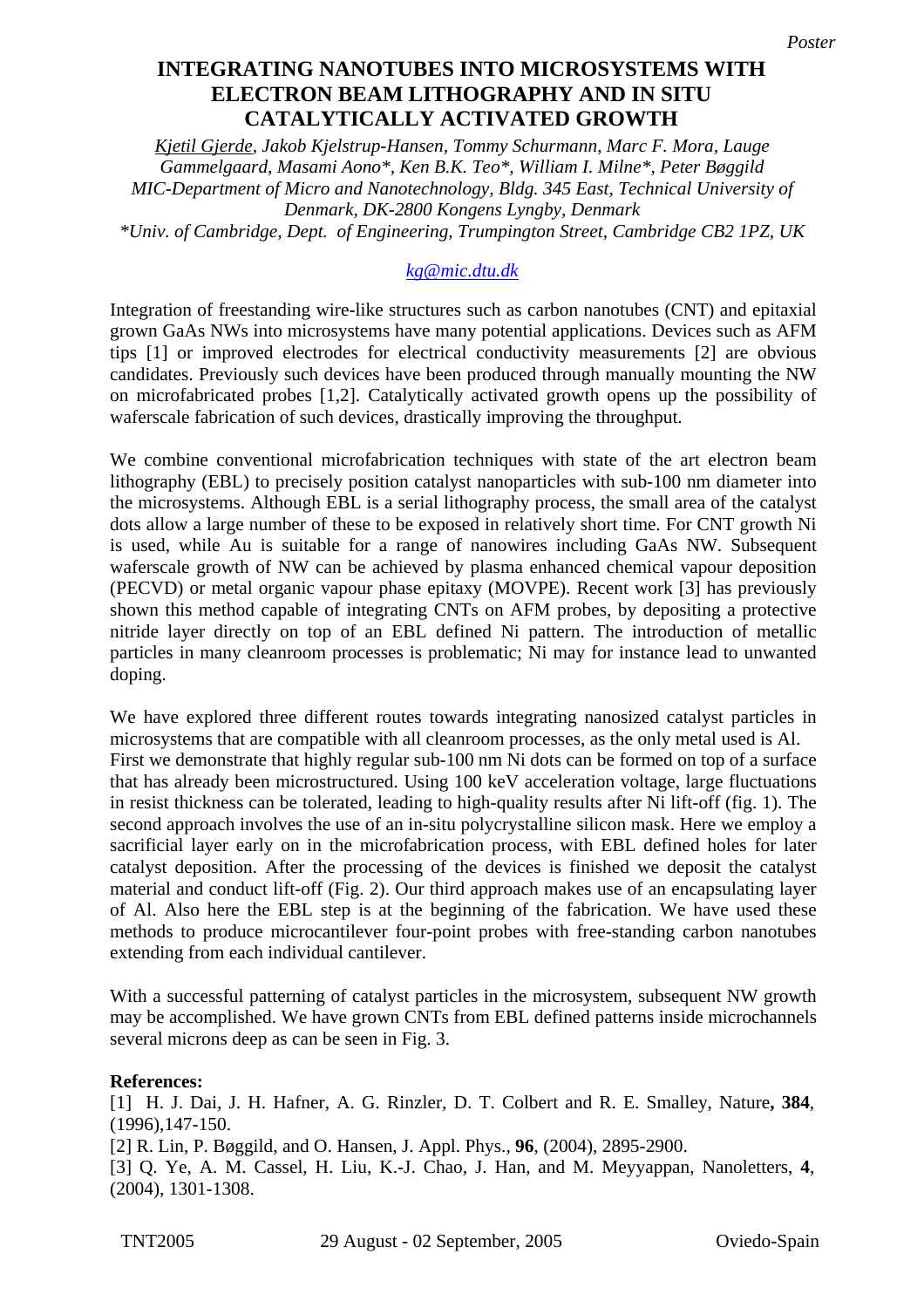## **ELECTRON BEAM LITHOGRAPHY AND IN SITU Catalytically Activated Growth CATALYTICALLY ACTIVATED GROWTH INTEGRATING NANOTUBES INTO MICROSYSTEMS WITH**

*Kjetil Gjerde, Jakob Kjelstrup-Hansen, Tommy Schurmann, Marc F. Mora, Lauge Gammelgaard, Masami Aono\*, Ken B.K. Teo\*, William I. Milne\*, Peter Bøggild MIC-Department of Micro and Nanotechnology, Bldg. 345 East, Technical University of Denmark, DK-2800 Kongens Lyngby, Denmark \*Univ. of Cambridge, Dept. of Engineering, Trumpington Street, Cambridge CB2 1PZ, UK* 

## *[kg@mic.dtu.dk](mailto:kg@mic.dtu.dk)*

Integration of freestanding wire-like structures such as carbon nanotubes (CNT) and epitaxial grown GaAs NWs into microsystems have many potential applications. Devices such as AFM tips [1] or improved electrodes for electrical conductivity measurements [2] are obvious candidates. Previously such devices have been produced through manually mounting the NW on microfabricated probes [1,2]. Catalytically activated growth opens up the possibility of waferscale fabrication of such devices, drastically improving the throughput.

We combine conventional microfabrication techniques with state of the art electron beam lithography (EBL) to precisely position catalyst nanoparticles with sub-100 nm diameter into the microsystems. Although EBL is a serial lithography process, the small area of the catalyst dots allow a large number of these to be exposed in relatively short time. For CNT growth Ni is used, while Au is suitable for a range of nanowires including GaAs NW. Subsequent waferscale growth of NW can be achieved by plasma enhanced chemical vapour deposition (PECVD) or metal organic vapour phase epitaxy (MOVPE). Recent work [3] has previously shown this method capable of integrating CNTs on AFM probes, by depositing a protective nitride layer directly on top of an EBL defined Ni pattern. The introduction of metallic particles in many cleanroom processes is problematic; Ni may for instance lead to unwanted doping.

We have explored three different routes towards integrating nanosized catalyst particles in microsystems that are compatible with all cleanroom processes, as the only metal used is Al. First we demonstrate that highly regular sub-100 nm Ni dots can be formed on top of a surface that has already been microstructured. Using 100 keV acceleration voltage, large fluctuations in resist thickness can be tolerated, leading to high-quality results after Ni lift-off (fig. 1). The second approach involves the use of an in-situ polycrystalline silicon mask. Here we employ a sacrificial layer early on in the microfabrication process, with EBL defined holes for later catalyst deposition. After the processing of the devices is finished we deposit the catalyst material and conduct lift-off (Fig. 2). Our third approach makes use of an encapsulating layer of Al. Also here the EBL step is at the beginning of the fabrication. We have used these methods to produce microcantilever four-point probes with free-standing carbon nanotubes extending from each individual cantilever.

With a successful patterning of catalyst particles in the microsystem, subsequent NW growth may be accomplished. We have grown CNTs from EBL defined patterns inside microchannels several microns deep as can be seen in Fig. 3.

## **References:**

[1] H. J. Dai, J. H. Hafner, A. G. Rinzler, D. T. Colbert and R. E. Smalley, Nature**, 384**, (1996),147-150. [2] R. Lin, P. Bøggild, and O. Hansen, J. Appl. Phys., **96**, (2004), 2895-2900. [3] Q. Ye, A. M. Cassel, H. Liu, K.-J. Chao, J. Han, and M. Meyyappan, Nanoletters, **4**, (2004), 1301-1308.

TNT2005 29 August - 02 September, 2005 Oviedo-Spain